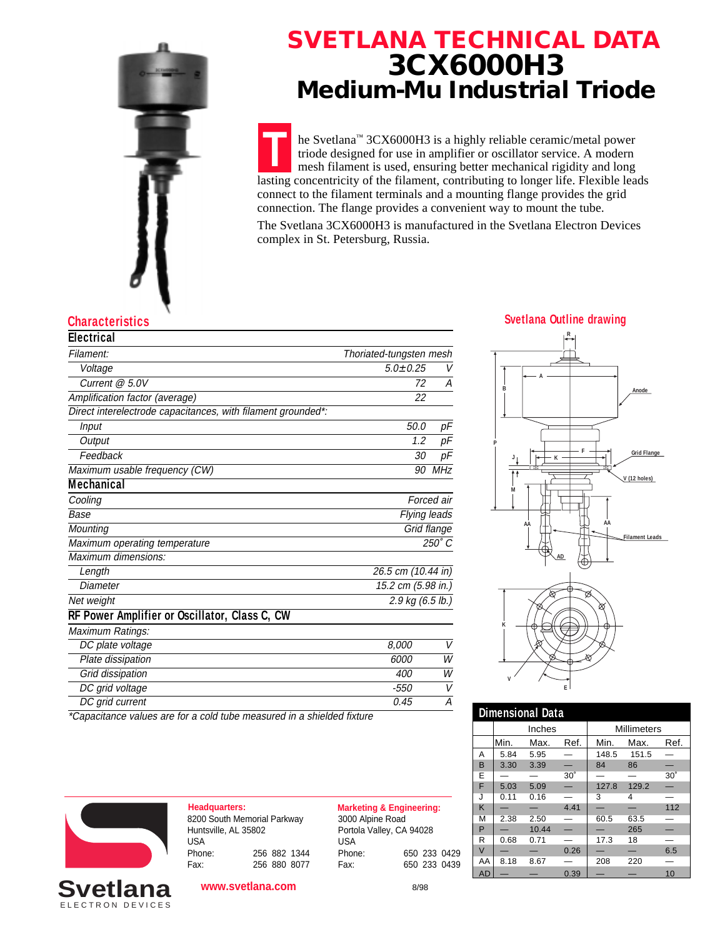

## **SVETLANA TECHNICAL DATA 3CX6000H3 Medium-Mu Industrial Triode**

**T** he Svetlana™ 3CX6000H3 is a highly reliable ceramic/metal power triode designed for use in amplifier or oscillator service. A modern mesh filament is used, ensuring better mechanical rigidity and long lasting concentricity of the filament, contributing to longer life. Flexible leads connect to the filament terminals and a mounting flange provides the grid connection. The flange provides a convenient way to mount the tube.

The Svetlana 3CX6000H3 is manufactured in the Svetlana Electron Devices complex in St. Petersburg, Russia.

### **Characteristics Svetlana Outline drawing**

| <b>Electrical</b>                                            |                         |     |  |
|--------------------------------------------------------------|-------------------------|-----|--|
| Filament:                                                    | Thoriated-tungsten mesh |     |  |
| Voltage                                                      | $5.0 \pm 0.25$          | V   |  |
| Current @ 5.0V                                               | 72                      | А   |  |
| Amplification factor (average)                               | 22                      |     |  |
| Direct interelectrode capacitances, with filament grounded*: |                         |     |  |
| Input                                                        | 50.0                    | pF  |  |
| Output                                                       | 1.2                     | pF  |  |
| Feedback                                                     | 30                      | рF  |  |
| Maximum usable frequency (CW)                                | 90                      | MHz |  |
| <b>Mechanical</b>                                            |                         |     |  |
| Cooling                                                      | Forced air              |     |  |
| Base                                                         | Flying leads            |     |  |
| Mounting                                                     | Grid flange             |     |  |
| Maximum operating temperature                                | $250^\circ C$           |     |  |
| Maximum dimensions:                                          |                         |     |  |
| Length                                                       | 26.5 cm (10.44 in)      |     |  |
| Diameter                                                     | 15.2 cm (5.98 in.)      |     |  |
| Net weight                                                   | 2.9 kg (6.5 lb.)        |     |  |
| RF Power Amplifier or Oscillator, Class C, CW                |                         |     |  |
| Maximum Ratings:                                             |                         |     |  |
| DC plate voltage                                             | 8.000                   | V   |  |
| Plate dissipation                                            | 6000                    | W   |  |
| Grid dissipation                                             | 400                     | W   |  |
| DC grid voltage                                              | -550                    | V   |  |
| DC grid current                                              | 0.45                    | Α   |  |

\*Capacitance values are for a cold tube measured in a shielded fixture





8200 South Memorial Parkway Huntsville, AL 35802 USA<br>Phone: Phone: 256 882 1344

Fax: 256 880 8077

**www.svetlana.com**

**Headquarters: Marketing & Engineering:** 3000 Alpine Road Portola Valley, CA 94028 USA<br>Phone: Phone: 650 233 0429

Fax: 650 233 0439

8/98



| <b>Dimensional Data</b> |        |       |            |                    |       |            |
|-------------------------|--------|-------|------------|--------------------|-------|------------|
|                         | Inches |       |            | <b>Millimeters</b> |       |            |
|                         | Min.   | Max.  | Ref.       | Min.               | Max.  | Ref.       |
| Α                       | 5.84   | 5.95  |            | 148.5              | 151.5 |            |
| B                       | 3.30   | 3.39  |            | 84                 | 86    |            |
| E                       |        |       | $30^\circ$ |                    |       | $30^\circ$ |
| F                       | 5.03   | 5.09  |            | 127.8              | 129.2 |            |
| J                       | 0.11   | 0.16  |            | 3                  | 4     |            |
| K                       |        |       | 4.41       |                    |       | 112        |
| M                       | 2.38   | 2.50  |            | 60.5               | 63.5  |            |
| P                       |        | 10.44 |            |                    | 265   |            |
| R                       | 0.68   | 0.71  |            | 17.3               | 18    |            |
| V                       |        |       | 0.26       |                    |       | 6.5        |
| AA                      | 8.18   | 8.67  |            | 208                | 220   |            |
| AD                      |        |       | 0.39       |                    |       | 10         |